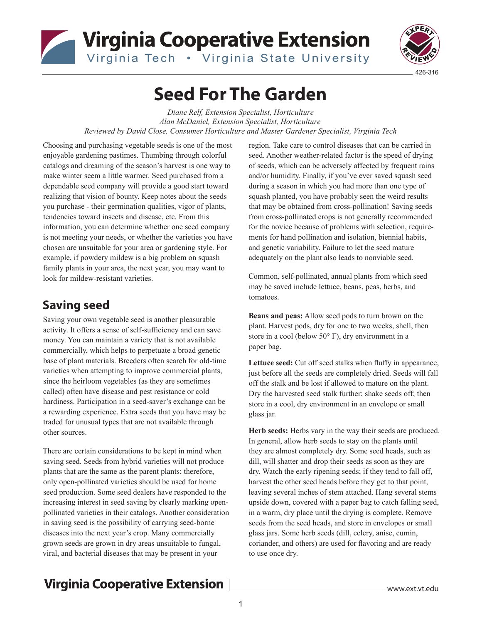## Virginia Cooperative Extension Virginia Tech . Virginia State University



# **Seed For The Garden**

*Diane Relf, Extension Specialist, Horticulture Alan McDaniel, Extension Specialist, Horticulture Reviewed by David Close, Consumer Horticulture and Master Gardener Specialist, Virginia Tech*

Choosing and purchasing vegetable seeds is one of the most enjoyable gardening pastimes. Thumbing through colorful catalogs and dreaming of the season's harvest is one way to make winter seem a little warmer. Seed purchased from a dependable seed company will provide a good start toward realizing that vision of bounty. Keep notes about the seeds you purchase - their germination qualities, vigor of plants, tendencies toward insects and disease, etc. From this information, you can determine whether one seed company is not meeting your needs, or whether the varieties you have chosen are unsuitable for your area or gardening style. For example, if powdery mildew is a big problem on squash family plants in your area, the next year, you may want to look for mildew-resistant varieties.

### **Saving seed**

Saving your own vegetable seed is another pleasurable activity. It offers a sense of self-sufficiency and can save money. You can maintain a variety that is not available commercially, which helps to perpetuate a broad genetic base of plant materials. Breeders often search for old-time varieties when attempting to improve commercial plants, since the heirloom vegetables (as they are sometimes called) often have disease and pest resistance or cold hardiness. Participation in a seed-saver's exchange can be a rewarding experience. Extra seeds that you have may be traded for unusual types that are not available through other sources.

There are certain considerations to be kept in mind when saving seed. Seeds from hybrid varieties will not produce plants that are the same as the parent plants; therefore, only open-pollinated varieties should be used for home seed production. Some seed dealers have responded to the increasing interest in seed saving by clearly marking openpollinated varieties in their catalogs. Another consideration in saving seed is the possibility of carrying seed-borne diseases into the next year's crop. Many commercially grown seeds are grown in dry areas unsuitable to fungal, viral, and bacterial diseases that may be present in your

region. Take care to control diseases that can be carried in seed. Another weather-related factor is the speed of drying of seeds, which can be adversely affected by frequent rains and/or humidity. Finally, if you've ever saved squash seed during a season in which you had more than one type of squash planted, you have probably seen the weird results that may be obtained from cross-pollination! Saving seeds from cross-pollinated crops is not generally recommended for the novice because of problems with selection, requirements for hand pollination and isolation, biennial habits, and genetic variability. Failure to let the seed mature adequately on the plant also leads to nonviable seed.

Common, self-pollinated, annual plants from which seed may be saved include lettuce, beans, peas, herbs, and tomatoes.

**Beans and peas:** Allow seed pods to turn brown on the plant. Harvest pods, dry for one to two weeks, shell, then store in a cool (below 50° F), dry environment in a paper bag.

**Lettuce seed:** Cut off seed stalks when fluffy in appearance, just before all the seeds are completely dried. Seeds will fall off the stalk and be lost if allowed to mature on the plant. Dry the harvested seed stalk further; shake seeds off; then store in a cool, dry environment in an envelope or small glass jar.

**Herb seeds:** Herbs vary in the way their seeds are produced. In general, allow herb seeds to stay on the plants until they are almost completely dry. Some seed heads, such as dill, will shatter and drop their seeds as soon as they are dry. Watch the early ripening seeds; if they tend to fall off, harvest the other seed heads before they get to that point, leaving several inches of stem attached. Hang several stems upside down, covered with a paper bag to catch falling seed, in a warm, dry place until the drying is complete. Remove seeds from the seed heads, and store in envelopes or small glass jars. Some herb seeds (dill, celery, anise, cumin, coriander, and others) are used for flavoring and are ready to use once dry.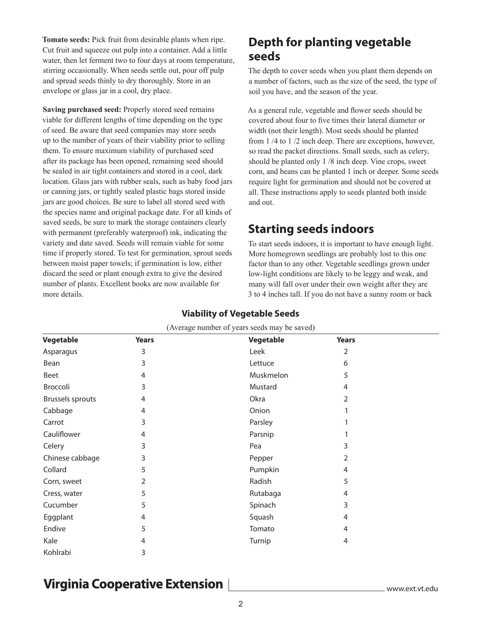**Tomato seeds:** Pick fruit from desirable plants when ripe. Cut fruit and squeeze out pulp into a container. Add a little water, then let ferment two to four days at room temperature, stirring occasionally. When seeds settle out, pour off pulp and spread seeds thinly to dry thoroughly. Store in an envelope or glass jar in a cool, dry place.

**Saving purchased seed:** Properly stored seed remains viable for different lengths of time depending on the type of seed. Be aware that seed companies may store seeds up to the number of years of their viability prior to selling them. To ensure maximum viability of purchased seed after its package has been opened, remaining seed should be sealed in air tight containers and stored in a cool, dark location. Glass jars with rubber seals, such as baby food jars or canning jars, or tightly sealed plastic bags stored inside jars are good choices. Be sure to label all stored seed with the species name and original package date. For all kinds of saved seeds, be sure to mark the storage containers clearly with permanent (preferably waterproof) ink, indicating the variety and date saved. Seeds will remain viable for some time if properly stored. To test for germination, sprout seeds between moist paper towels; if germination is low, either discard the seed or plant enough extra to give the desired number of plants. Excellent books are now available for more details.

### **Depth for planting vegetable seeds**

The depth to cover seeds when you plant them depends on a number of factors, such as the size of the seed, the type of soil you have, and the season of the year.

As a general rule, vegetable and flower seeds should be covered about four to five times their lateral diameter or width (not their length). Most seeds should be planted from 1 /4 to 1 /2 inch deep. There are exceptions, however, so read the packet directions. Small seeds, such as celery, should be planted only 1 /8 inch deep. Vine crops, sweet corn, and beans can be planted 1 inch or deeper. Some seeds require light for germination and should not be covered at all. These instructions apply to seeds planted both inside and out.

### **Starting seeds indoors**

To start seeds indoors, it is important to have enough light. More homegrown seedlings are probably lost to this one factor than to any other. Vegetable seedlings grown under low-light conditions are likely to be leggy and weak, and many will fall over under their own weight after they are 3 to 4 inches tall. If you do not have a sunny room or back

| (Average number of years seeds may be saved) |              |           |              |  |  |
|----------------------------------------------|--------------|-----------|--------------|--|--|
| Vegetable                                    | <b>Years</b> | Vegetable | <b>Years</b> |  |  |
| Asparagus                                    | 3            | Leek      | 2            |  |  |
| Bean                                         | 3            | Lettuce   | 6            |  |  |
| Beet                                         | 4            | Muskmelon | 5            |  |  |
| Broccoli                                     | 3            | Mustard   | 4            |  |  |
| <b>Brussels sprouts</b>                      | 4            | Okra      | 2            |  |  |
| Cabbage                                      | 4            | Onion     |              |  |  |
| Carrot                                       | 3            | Parsley   |              |  |  |
| Cauliflower                                  | 4            | Parsnip   |              |  |  |
| Celery                                       | 3            | Pea       | 3            |  |  |
| Chinese cabbage                              | 3            | Pepper    | 2            |  |  |
| Collard                                      | 5            | Pumpkin   | 4            |  |  |
| Corn, sweet                                  | 2            | Radish    | 5            |  |  |
| Cress, water                                 | 5            | Rutabaga  | 4            |  |  |
| Cucumber                                     | 5            | Spinach   | 3            |  |  |
| Eggplant                                     | 4            | Squash    | 4            |  |  |
| Endive                                       | 5            | Tomato    | 4            |  |  |
| Kale                                         | 4            | Turnip    | 4            |  |  |
| Kohlrabi                                     | 3            |           |              |  |  |

#### **Viability of Vegetable Seeds**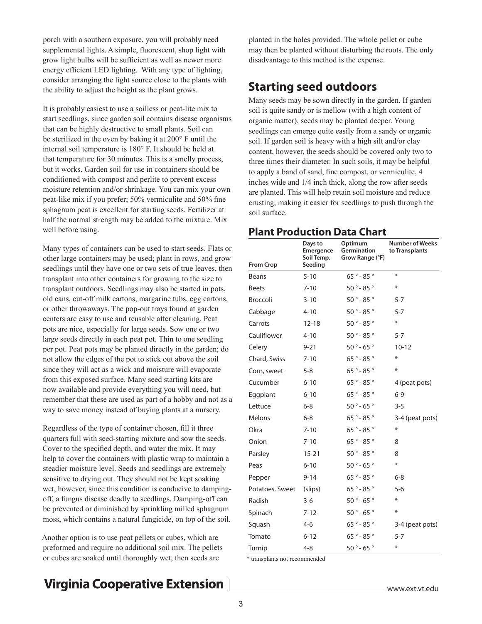porch with a southern exposure, you will probably need supplemental lights. A simple, fluorescent, shop light with grow light bulbs will be sufficient as well as newer more energy efficient LED lighting. With any type of lighting, consider arranging the light source close to the plants with the ability to adjust the height as the plant grows.

It is probably easiest to use a soilless or peat-lite mix to start seedlings, since garden soil contains disease organisms that can be highly destructive to small plants. Soil can be sterilized in the oven by baking it at 200° F until the internal soil temperature is 180° F. It should be held at that temperature for 30 minutes. This is a smelly process, but it works. Garden soil for use in containers should be conditioned with compost and perlite to prevent excess moisture retention and/or shrinkage. You can mix your own peat-like mix if you prefer; 50% vermiculite and 50% fine sphagnum peat is excellent for starting seeds. Fertilizer at half the normal strength may be added to the mixture. Mix well before using.

Many types of containers can be used to start seeds. Flats or other large containers may be used; plant in rows, and grow seedlings until they have one or two sets of true leaves, then transplant into other containers for growing to the size to transplant outdoors. Seedlings may also be started in pots, old cans, cut-off milk cartons, margarine tubs, egg cartons, or other throwaways. The pop-out trays found at garden centers are easy to use and reusable after cleaning. Peat pots are nice, especially for large seeds. Sow one or two large seeds directly in each peat pot. Thin to one seedling per pot. Peat pots may be planted directly in the garden; do not allow the edges of the pot to stick out above the soil since they will act as a wick and moisture will evaporate from this exposed surface. Many seed starting kits are now available and provide everything you will need, but remember that these are used as part of a hobby and not as a way to save money instead of buying plants at a nursery.

Regardless of the type of container chosen, fill it three quarters full with seed-starting mixture and sow the seeds. Cover to the specified depth, and water the mix. It may help to cover the containers with plastic wrap to maintain a steadier moisture level. Seeds and seedlings are extremely sensitive to drying out. They should not be kept soaking wet, however, since this condition is conducive to dampingoff, a fungus disease deadly to seedlings. Damping-off can be prevented or diminished by sprinkling milled sphagnum moss, which contains a natural fungicide, on top of the soil.

Another option is to use peat pellets or cubes, which are preformed and require no additional soil mix. The pellets or cubes are soaked until thoroughly wet, then seeds are

planted in the holes provided. The whole pellet or cube may then be planted without disturbing the roots. The only disadvantage to this method is the expense.

### **Starting seed outdoors**

Many seeds may be sown directly in the garden. If garden soil is quite sandy or is mellow (with a high content of organic matter), seeds may be planted deeper. Young seedlings can emerge quite easily from a sandy or organic soil. If garden soil is heavy with a high silt and/or clay content, however, the seeds should be covered only two to three times their diameter. In such soils, it may be helpful to apply a band of sand, fine compost, or vermiculite, 4 inches wide and 1/4 inch thick, along the row after seeds are planted. This will help retain soil moisture and reduce crusting, making it easier for seedlings to push through the soil surface.

#### **Plant Production Data Chart**

| <b>From Crop</b> | Days to<br>Emergence<br>Soil Temp.<br>Seeding | Optimum<br>Germination<br>Grow Range (°F) | <b>Number of Weeks</b><br>to Transplants |
|------------------|-----------------------------------------------|-------------------------------------------|------------------------------------------|
| <b>Beans</b>     | $5 - 10$                                      | $65° - 85°$                               | ∗                                        |
| <b>Beets</b>     | $7 - 10$                                      | $50° - 85°$                               | $\ast$                                   |
| Broccoli         | $3 - 10$                                      | $50° - 85°$                               | $5 - 7$                                  |
| Cabbage          | $4 - 10$                                      | $50° - 85°$                               | $5 - 7$                                  |
| Carrots          | $12 - 18$                                     | $50° - 85°$                               | ⋇                                        |
| Cauliflower      | $4 - 10$                                      | $50° - 85°$                               | $5 - 7$                                  |
| Celery           | $9 - 21$                                      | $50° - 65°$                               | $10 - 12$                                |
| Chard, Swiss     | $7 - 10$                                      | $65° - 85°$                               | ⋇                                        |
| Corn, sweet      | $5 - 8$                                       | $65° - 85°$                               | ⋇                                        |
| Cucumber         | $6 - 10$                                      | $65° - 85°$                               | 4 (peat pots)                            |
| Eggplant         | $6 - 10$                                      | $65° - 85°$                               | $6 - 9$                                  |
| Lettuce          | $6 - 8$                                       | $50° - 65°$                               | $3 - 5$                                  |
| Melons           | $6 - 8$                                       | $65° - 85°$                               | 3-4 (peat pots)                          |
| Okra             | $7 - 10$                                      | $65° - 85°$                               | ⋇                                        |
| Onion            | $7 - 10$                                      | 65 $^{\circ}$ - 85 $^{\circ}$             | 8                                        |
| Parsley          | $15 - 21$                                     | $50° - 85°$                               | 8                                        |
| Peas             | $6 - 10$                                      | $50° - 65°$                               | $\ast$                                   |
| Pepper           | $9 - 14$                                      | $65° - 85°$                               | $6 - 8$                                  |
| Potatoes, Sweet  | (slips)                                       | $65° - 85°$                               | $5 - 6$                                  |
| Radish           | $3-6$                                         | $50° - 65°$                               | $\ast$                                   |
| Spinach          | $7 - 12$                                      | $50° - 65°$                               | ∗                                        |
| Squash           | $4 - 6$                                       | $65° - 85°$                               | 3-4 (peat pots)                          |
| Tomato           | $6 - 12$                                      | $65° - 85°$                               | $5 - 7$                                  |
| Turnip           | $4 - 8$                                       | $50° - 65°$                               | ⋇                                        |

\* transplants not recommended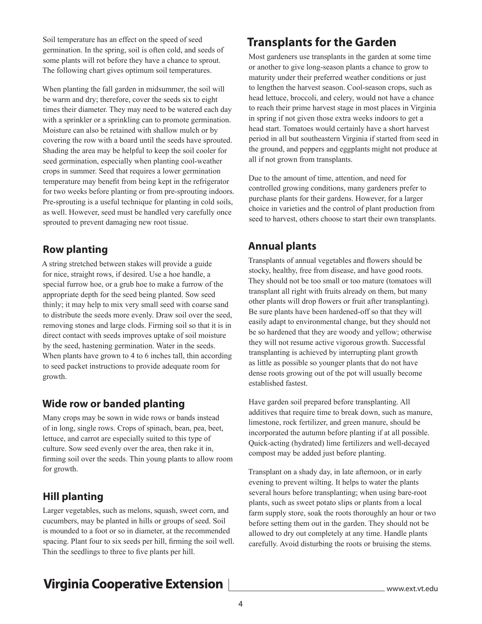Soil temperature has an effect on the speed of seed germination. In the spring, soil is often cold, and seeds of some plants will rot before they have a chance to sprout. The following chart gives optimum soil temperatures.

When planting the fall garden in midsummer, the soil will be warm and dry; therefore, cover the seeds six to eight times their diameter. They may need to be watered each day with a sprinkler or a sprinkling can to promote germination. Moisture can also be retained with shallow mulch or by covering the row with a board until the seeds have sprouted. Shading the area may be helpful to keep the soil cooler for seed germination, especially when planting cool-weather crops in summer. Seed that requires a lower germination temperature may benefit from being kept in the refrigerator for two weeks before planting or from pre-sprouting indoors. Pre-sprouting is a useful technique for planting in cold soils, as well. However, seed must be handled very carefully once sprouted to prevent damaging new root tissue.

#### **Row planting**

A string stretched between stakes will provide a guide for nice, straight rows, if desired. Use a hoe handle, a special furrow hoe, or a grub hoe to make a furrow of the appropriate depth for the seed being planted. Sow seed thinly; it may help to mix very small seed with coarse sand to distribute the seeds more evenly. Draw soil over the seed, removing stones and large clods. Firming soil so that it is in direct contact with seeds improves uptake of soil moisture by the seed, hastening germination. Water in the seeds. When plants have grown to 4 to 6 inches tall, thin according to seed packet instructions to provide adequate room for growth.

#### **Wide row or banded planting**

Many crops may be sown in wide rows or bands instead of in long, single rows. Crops of spinach, bean, pea, beet, lettuce, and carrot are especially suited to this type of culture. Sow seed evenly over the area, then rake it in, firming soil over the seeds. Thin young plants to allow room for growth.

#### **Hill planting**

Larger vegetables, such as melons, squash, sweet corn, and cucumbers, may be planted in hills or groups of seed. Soil is mounded to a foot or so in diameter, at the recommended spacing. Plant four to six seeds per hill, firming the soil well. Thin the seedlings to three to five plants per hill.

### **Transplants for the Garden**

Most gardeners use transplants in the garden at some time or another to give long-season plants a chance to grow to maturity under their preferred weather conditions or just to lengthen the harvest season. Cool-season crops, such as head lettuce, broccoli, and celery, would not have a chance to reach their prime harvest stage in most places in Virginia in spring if not given those extra weeks indoors to get a head start. Tomatoes would certainly have a short harvest period in all but southeastern Virginia if started from seed in the ground, and peppers and eggplants might not produce at all if not grown from transplants.

Due to the amount of time, attention, and need for controlled growing conditions, many gardeners prefer to purchase plants for their gardens. However, for a larger choice in varieties and the control of plant production from seed to harvest, others choose to start their own transplants.

#### **Annual plants**

Transplants of annual vegetables and flowers should be stocky, healthy, free from disease, and have good roots. They should not be too small or too mature (tomatoes will transplant all right with fruits already on them, but many other plants will drop flowers or fruit after transplanting). Be sure plants have been hardened-off so that they will easily adapt to environmental change, but they should not be so hardened that they are woody and yellow; otherwise they will not resume active vigorous growth. Successful transplanting is achieved by interrupting plant growth as little as possible so younger plants that do not have dense roots growing out of the pot will usually become established fastest.

Have garden soil prepared before transplanting. All additives that require time to break down, such as manure, limestone, rock fertilizer, and green manure, should be incorporated the autumn before planting if at all possible. Quick-acting (hydrated) lime fertilizers and well-decayed compost may be added just before planting.

Transplant on a shady day, in late afternoon, or in early evening to prevent wilting. It helps to water the plants several hours before transplanting; when using bare-root plants, such as sweet potato slips or plants from a local farm supply store, soak the roots thoroughly an hour or two before setting them out in the garden. They should not be allowed to dry out completely at any time. Handle plants carefully. Avoid disturbing the roots or bruising the stems.